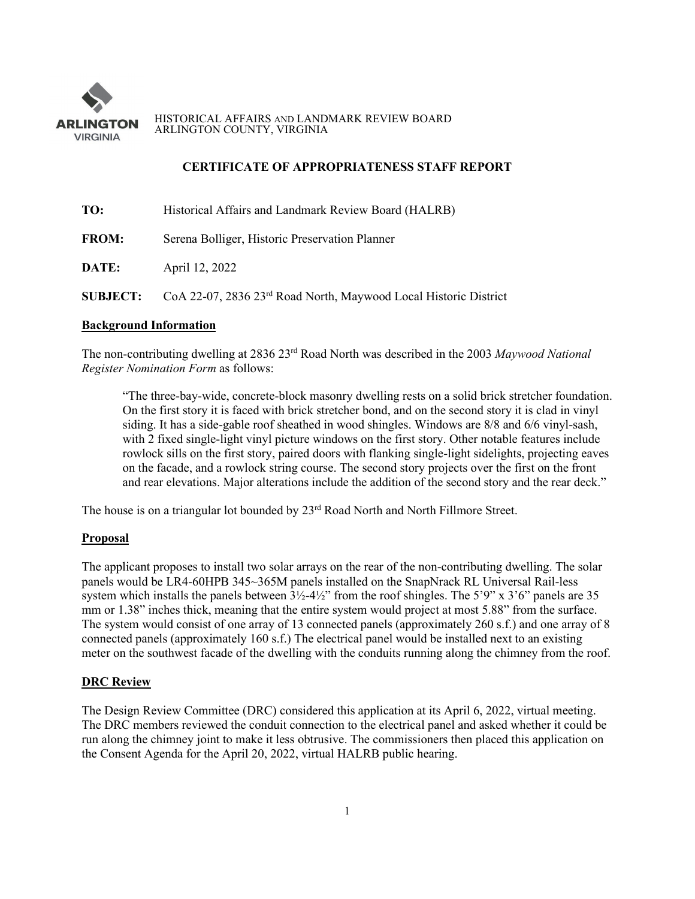

HISTORICAL AFFAIRS AND LANDMARK REVIEW BOARD ARLINGTON COUNTY, VIRGINIA

# **CERTIFICATE OF APPROPRIATENESS STAFF REPORT**

| TO:          | Historical Affairs and Landmark Review Board (HALRB)                                         |
|--------------|----------------------------------------------------------------------------------------------|
| <b>FROM:</b> | Serena Bolliger, Historic Preservation Planner                                               |
| DATE:        | April 12, 2022                                                                               |
|              | <b>SUBJECT:</b> CoA 22-07, 2836 23 <sup>rd</sup> Road North, Maywood Local Historic District |

### **Background Information**

The non-contributing dwelling at 2836 23rd Road North was described in the 2003 *Maywood National Register Nomination Form* as follows:

"The three-bay-wide, concrete-block masonry dwelling rests on a solid brick stretcher foundation. On the first story it is faced with brick stretcher bond, and on the second story it is clad in vinyl siding. It has a side-gable roof sheathed in wood shingles. Windows are 8/8 and 6/6 vinyl-sash, with 2 fixed single-light vinyl picture windows on the first story. Other notable features include rowlock sills on the first story, paired doors with flanking single-light sidelights, projecting eaves on the facade, and a rowlock string course. The second story projects over the first on the front and rear elevations. Major alterations include the addition of the second story and the rear deck."

The house is on a triangular lot bounded by 23<sup>rd</sup> Road North and North Fillmore Street.

## **Proposal**

The applicant proposes to install two solar arrays on the rear of the non-contributing dwelling. The solar panels would be LR4-60HPB 345~365M panels installed on the SnapNrack RL Universal Rail-less system which installs the panels between  $3\frac{1}{2}$ -4½" from the roof shingles. The 5'9" x 3'6" panels are 35 mm or 1.38" inches thick, meaning that the entire system would project at most 5.88" from the surface. The system would consist of one array of 13 connected panels (approximately 260 s.f.) and one array of 8 connected panels (approximately 160 s.f.) The electrical panel would be installed next to an existing meter on the southwest facade of the dwelling with the conduits running along the chimney from the roof.

### **DRC Review**

The Design Review Committee (DRC) considered this application at its April 6, 2022, virtual meeting. The DRC members reviewed the conduit connection to the electrical panel and asked whether it could be run along the chimney joint to make it less obtrusive. The commissioners then placed this application on the Consent Agenda for the April 20, 2022, virtual HALRB public hearing.